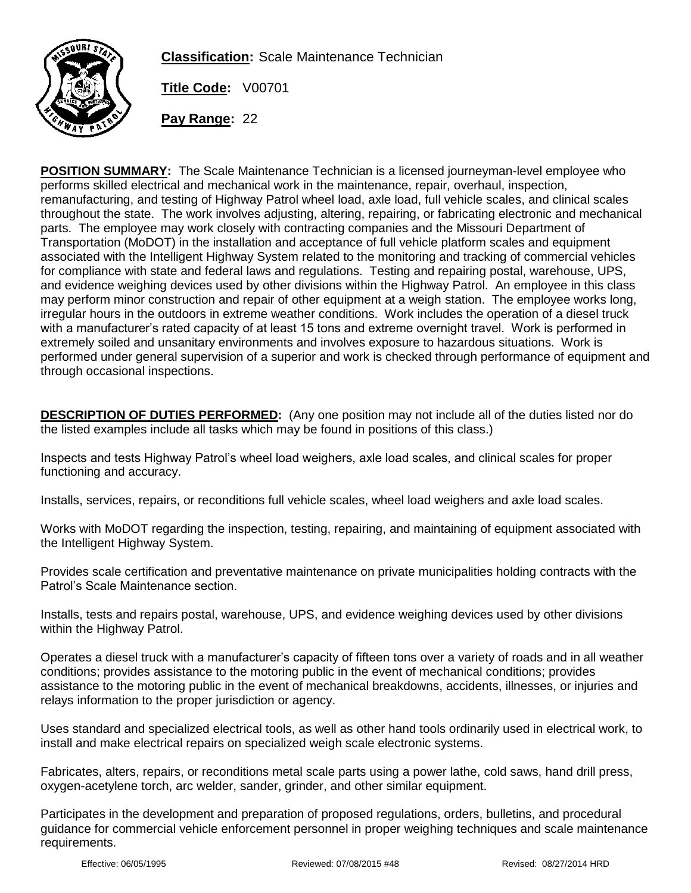

**Classification:** Scale Maintenance Technician

**Title Code:** V00701

**Pay Range:** 22

**POSITION SUMMARY:** The Scale Maintenance Technician is a licensed journeyman-level employee who performs skilled electrical and mechanical work in the maintenance, repair, overhaul, inspection, remanufacturing, and testing of Highway Patrol wheel load, axle load, full vehicle scales, and clinical scales throughout the state. The work involves adjusting, altering, repairing, or fabricating electronic and mechanical parts. The employee may work closely with contracting companies and the Missouri Department of Transportation (MoDOT) in the installation and acceptance of full vehicle platform scales and equipment associated with the Intelligent Highway System related to the monitoring and tracking of commercial vehicles for compliance with state and federal laws and regulations. Testing and repairing postal, warehouse, UPS, and evidence weighing devices used by other divisions within the Highway Patrol. An employee in this class may perform minor construction and repair of other equipment at a weigh station. The employee works long, irregular hours in the outdoors in extreme weather conditions. Work includes the operation of a diesel truck with a manufacturer's rated capacity of at least 15 tons and extreme overnight travel. Work is performed in extremely soiled and unsanitary environments and involves exposure to hazardous situations. Work is performed under general supervision of a superior and work is checked through performance of equipment and through occasional inspections.

**DESCRIPTION OF DUTIES PERFORMED:** (Any one position may not include all of the duties listed nor do the listed examples include all tasks which may be found in positions of this class.)

Inspects and tests Highway Patrol's wheel load weighers, axle load scales, and clinical scales for proper functioning and accuracy.

Installs, services, repairs, or reconditions full vehicle scales, wheel load weighers and axle load scales.

Works with MoDOT regarding the inspection, testing, repairing, and maintaining of equipment associated with the Intelligent Highway System.

Provides scale certification and preventative maintenance on private municipalities holding contracts with the Patrol's Scale Maintenance section.

Installs, tests and repairs postal, warehouse, UPS, and evidence weighing devices used by other divisions within the Highway Patrol.

Operates a diesel truck with a manufacturer's capacity of fifteen tons over a variety of roads and in all weather conditions; provides assistance to the motoring public in the event of mechanical conditions; provides assistance to the motoring public in the event of mechanical breakdowns, accidents, illnesses, or injuries and relays information to the proper jurisdiction or agency.

Uses standard and specialized electrical tools, as well as other hand tools ordinarily used in electrical work, to install and make electrical repairs on specialized weigh scale electronic systems.

Fabricates, alters, repairs, or reconditions metal scale parts using a power lathe, cold saws, hand drill press, oxygen-acetylene torch, arc welder, sander, grinder, and other similar equipment.

Participates in the development and preparation of proposed regulations, orders, bulletins, and procedural guidance for commercial vehicle enforcement personnel in proper weighing techniques and scale maintenance requirements.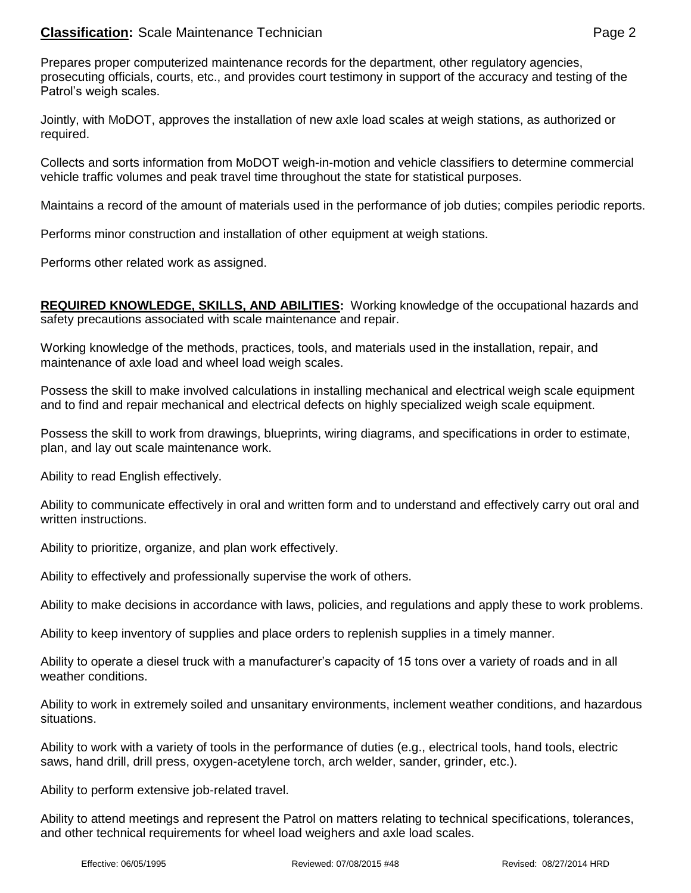## **Classification:** Scale Maintenance Technician **Page 2 Page 2**

Prepares proper computerized maintenance records for the department, other regulatory agencies, prosecuting officials, courts, etc., and provides court testimony in support of the accuracy and testing of the Patrol's weigh scales.

Jointly, with MoDOT, approves the installation of new axle load scales at weigh stations, as authorized or required.

Collects and sorts information from MoDOT weigh-in-motion and vehicle classifiers to determine commercial vehicle traffic volumes and peak travel time throughout the state for statistical purposes.

Maintains a record of the amount of materials used in the performance of job duties; compiles periodic reports.

Performs minor construction and installation of other equipment at weigh stations.

Performs other related work as assigned.

**REQUIRED KNOWLEDGE, SKILLS, AND ABILITIES:** Working knowledge of the occupational hazards and safety precautions associated with scale maintenance and repair.

Working knowledge of the methods, practices, tools, and materials used in the installation, repair, and maintenance of axle load and wheel load weigh scales.

Possess the skill to make involved calculations in installing mechanical and electrical weigh scale equipment and to find and repair mechanical and electrical defects on highly specialized weigh scale equipment.

Possess the skill to work from drawings, blueprints, wiring diagrams, and specifications in order to estimate, plan, and lay out scale maintenance work.

Ability to read English effectively.

Ability to communicate effectively in oral and written form and to understand and effectively carry out oral and written instructions.

Ability to prioritize, organize, and plan work effectively.

Ability to effectively and professionally supervise the work of others.

Ability to make decisions in accordance with laws, policies, and regulations and apply these to work problems.

Ability to keep inventory of supplies and place orders to replenish supplies in a timely manner.

Ability to operate a diesel truck with a manufacturer's capacity of 15 tons over a variety of roads and in all weather conditions.

Ability to work in extremely soiled and unsanitary environments, inclement weather conditions, and hazardous situations.

Ability to work with a variety of tools in the performance of duties (e.g., electrical tools, hand tools, electric saws, hand drill, drill press, oxygen-acetylene torch, arch welder, sander, grinder, etc.).

Ability to perform extensive job-related travel.

Ability to attend meetings and represent the Patrol on matters relating to technical specifications, tolerances, and other technical requirements for wheel load weighers and axle load scales.